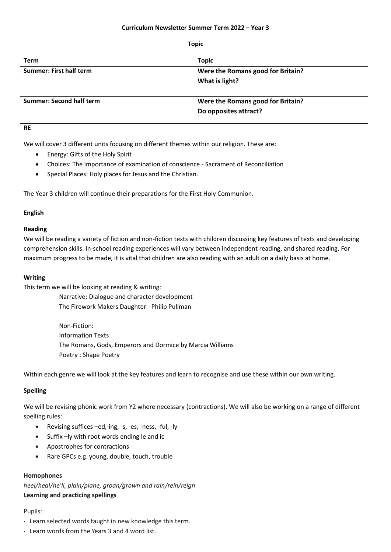#### **Topic**

| Term                           | <b>Topic</b>                                               |
|--------------------------------|------------------------------------------------------------|
| <b>Summer: First half term</b> | Were the Romans good for Britain?<br>What is light?        |
| Summer: Second half term       | Were the Romans good for Britain?<br>Do opposites attract? |

**RE**

We will cover 3 different units focusing on different themes within our religion. These are:

- Energy: Gifts of the Holy Spirit
- Choices: The importance of examination of conscience Sacrament of Reconciliation
- Special Places: Holy places for Jesus and the Christian.

The Year 3 children will continue their preparations for the First Holy Communion.

# **English**

# **Reading**

We will be reading a variety of fiction and non-fiction texts with children discussing key features of texts and developing comprehension skills. In-school reading experiences will vary between independent reading, and shared reading. For maximum progress to be made, it is vital that children are also reading with an adult on a daily basis at home.

## **Writing**

This term we will be looking at reading & writing:

Narrative: Dialogue and character development The Firework Makers Daughter - Philip Pullman

Non-Fiction: Information Texts The Romans, Gods, Emperors and Dormice by Marcia Williams Poetry : Shape Poetry

Within each genre we will look at the key features and learn to recognise and use these within our own writing.

# **Spelling**

We will be revising phonic work from Y2 where necessary (contractions). We will also be working on a range of different spelling rules:

- Revising suffices –ed,-ing, -s, -es, -ness, -ful, -ly
- Suffix –ly with root words ending le and ic
- Apostrophes for contractions
- Rare GPCs e.g. young, double, touch, trouble

# **Homophones**

*heel/heal/he'll, plain/plane, groan/grown and rain/rein/reign* **Learning and practicing spellings**

# Pupils:

- Learn selected words taught in new knowledge this term.
- Learn words from the Years 3 and 4 word list.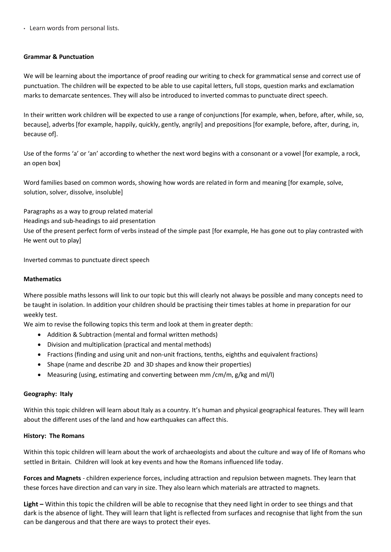• Learn words from personal lists.

## **Grammar & Punctuation**

We will be learning about the importance of proof reading our writing to check for grammatical sense and correct use of punctuation. The children will be expected to be able to use capital letters, full stops, question marks and exclamation marks to demarcate sentences. They will also be introduced to inverted commas to punctuate direct speech.

In their written work children will be expected to use a range of conjunctions [for example, when, before, after, while, so, because], adverbs [for example, happily, quickly, gently, angrily] and prepositions [for example, before, after, during, in, because of].

Use of the forms 'a' or 'an' according to whether the next word begins with a consonant or a vowel [for example, a rock, an open box]

Word families based on common words, showing how words are related in form and meaning [for example, solve, solution, solver, dissolve, insoluble]

Paragraphs as a way to group related material Headings and sub-headings to aid presentation Use of the present perfect form of verbs instead of the simple past [for example, He has gone out to play contrasted with He went out to play]

Inverted commas to punctuate direct speech

## **Mathematics**

Where possible maths lessons will link to our topic but this will clearly not always be possible and many concepts need to be taught in isolation. In addition your children should be practising their times tables at home in preparation for our weekly test.

We aim to revise the following topics this term and look at them in greater depth:

- Addition & Subtraction (mental and formal written methods)
- Division and multiplication (practical and mental methods)
- Fractions (finding and using unit and non-unit fractions, tenths, eighths and equivalent fractions)
- Shape (name and describe 2D and 3D shapes and know their properties)
- Measuring (using, estimating and converting between mm /cm/m, g/kg and ml/l)

#### **Geography: Italy**

Within this topic children will learn about Italy as a country. It's human and physical geographical features. They will learn about the different uses of the land and how earthquakes can affect this.

#### **History: The Romans**

Within this topic children will learn about the work of archaeologists and about the culture and way of life of Romans who settled in Britain. Children will look at key events and how the Romans influenced life today.

**Forces and Magnets** - children experience forces, including attraction and repulsion between magnets. They learn that these forces have direction and can vary in size. They also learn which materials are attracted to magnets.

**Light –** Within this topic the children will be able to recognise that they need light in order to see things and that dark is the absence of light. They will learn that light is reflected from surfaces and recognise that light from the sun can be dangerous and that there are ways to protect their eyes.